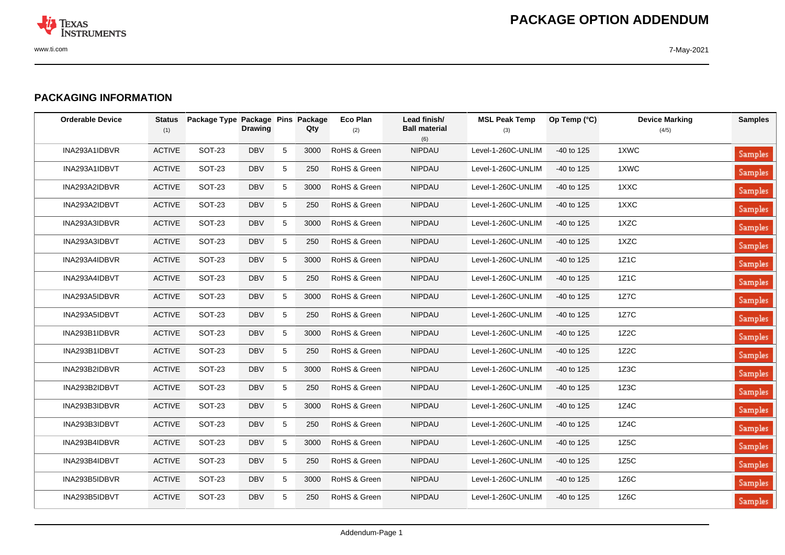

## **PACKAGING INFORMATION**

| <b>Orderable Device</b> | <b>Status</b><br>(1) | Package Type Package Pins Package | <b>Drawing</b> |                 | Qty  | <b>Eco Plan</b><br>(2) | Lead finish/<br><b>Ball material</b><br>(6) | <b>MSL Peak Temp</b><br>(3) | Op Temp (°C) | <b>Device Marking</b><br>(4/5) | <b>Samples</b> |
|-------------------------|----------------------|-----------------------------------|----------------|-----------------|------|------------------------|---------------------------------------------|-----------------------------|--------------|--------------------------------|----------------|
| INA293A1IDBVR           | <b>ACTIVE</b>        | <b>SOT-23</b>                     | <b>DBV</b>     | 5               | 3000 | RoHS & Green           | NIPDAU                                      | Level-1-260C-UNLIM          | $-40$ to 125 | 1XWC                           | Samples        |
| INA293A1IDBVT           | <b>ACTIVE</b>        | <b>SOT-23</b>                     | <b>DBV</b>     | 5               | 250  | RoHS & Green           | <b>NIPDAU</b>                               | Level-1-260C-UNLIM          | $-40$ to 125 | 1XWC                           | <b>Samples</b> |
| INA293A2IDBVR           | <b>ACTIVE</b>        | <b>SOT-23</b>                     | <b>DBV</b>     | 5               | 3000 | RoHS & Green           | <b>NIPDAU</b>                               | Level-1-260C-UNLIM          | $-40$ to 125 | 1XXC                           | Samples        |
| INA293A2IDBVT           | <b>ACTIVE</b>        | <b>SOT-23</b>                     | <b>DBV</b>     | 5               | 250  | RoHS & Green           | <b>NIPDAU</b>                               | Level-1-260C-UNLIM          | -40 to 125   | 1XXC                           | Samples        |
| INA293A3IDBVR           | <b>ACTIVE</b>        | <b>SOT-23</b>                     | <b>DBV</b>     | 5               | 3000 | RoHS & Green           | <b>NIPDAU</b>                               | Level-1-260C-UNLIM          | -40 to 125   | 1XZC                           | <b>Samples</b> |
| INA293A3IDBVT           | <b>ACTIVE</b>        | SOT-23                            | <b>DBV</b>     | 5               | 250  | RoHS & Green           | <b>NIPDAU</b>                               | Level-1-260C-UNLIM          | $-40$ to 125 | 1XZC                           | <b>Samples</b> |
| INA293A4IDBVR           | <b>ACTIVE</b>        | <b>SOT-23</b>                     | <b>DBV</b>     | 5               | 3000 | RoHS & Green           | NIPDAU                                      | Level-1-260C-UNLIM          | $-40$ to 125 | 1Z1C                           | Samples        |
| INA293A4IDBVT           | <b>ACTIVE</b>        | <b>SOT-23</b>                     | <b>DBV</b>     | $5\phantom{.0}$ | 250  | RoHS & Green           | <b>NIPDAU</b>                               | Level-1-260C-UNLIM          | $-40$ to 125 | 1Z1C                           | <b>Samples</b> |
| INA293A5IDBVR           | <b>ACTIVE</b>        | <b>SOT-23</b>                     | <b>DBV</b>     | 5               | 3000 | RoHS & Green           | <b>NIPDAU</b>                               | Level-1-260C-UNLIM          | -40 to 125   | 1Z7C                           | <b>Samples</b> |
| INA293A5IDBVT           | <b>ACTIVE</b>        | <b>SOT-23</b>                     | <b>DBV</b>     | 5               | 250  | RoHS & Green           | <b>NIPDAU</b>                               | Level-1-260C-UNLIM          | $-40$ to 125 | 1Z7C                           | Samples        |
| INA293B1IDBVR           | <b>ACTIVE</b>        | <b>SOT-23</b>                     | <b>DBV</b>     | 5               | 3000 | RoHS & Green           | <b>NIPDAU</b>                               | Level-1-260C-UNLIM          | -40 to 125   | 1Z <sub>2</sub> C              | <b>Samples</b> |
| INA293B1IDBVT           | <b>ACTIVE</b>        | <b>SOT-23</b>                     | <b>DBV</b>     | 5               | 250  | RoHS & Green           | <b>NIPDAU</b>                               | Level-1-260C-UNLIM          | $-40$ to 125 | 1Z <sub>2</sub> C              | Samples        |
| INA293B2IDBVR           | <b>ACTIVE</b>        | <b>SOT-23</b>                     | <b>DBV</b>     | 5               | 3000 | RoHS & Green           | <b>NIPDAU</b>                               | Level-1-260C-UNLIM          | $-40$ to 125 | 1Z3C                           | <b>Samples</b> |
| INA293B2IDBVT           | <b>ACTIVE</b>        | <b>SOT-23</b>                     | <b>DBV</b>     | 5               | 250  | RoHS & Green           | <b>NIPDAU</b>                               | Level-1-260C-UNLIM          | $-40$ to 125 | 1Z3C                           | Samples        |
| INA293B3IDBVR           | <b>ACTIVE</b>        | <b>SOT-23</b>                     | <b>DBV</b>     | 5               | 3000 | RoHS & Green           | <b>NIPDAU</b>                               | Level-1-260C-UNLIM          | $-40$ to 125 | 1Z4C                           | Samples        |
| INA293B3IDBVT           | <b>ACTIVE</b>        | <b>SOT-23</b>                     | <b>DBV</b>     | 5               | 250  | RoHS & Green           | <b>NIPDAU</b>                               | Level-1-260C-UNLIM          | -40 to 125   | 1Z4C                           | <b>Samples</b> |
| INA293B4IDBVR           | <b>ACTIVE</b>        | <b>SOT-23</b>                     | <b>DBV</b>     | 5               | 3000 | RoHS & Green           | <b>NIPDAU</b>                               | Level-1-260C-UNLIM          | $-40$ to 125 | 1Z5C                           | <b>Samples</b> |
| INA293B4IDBVT           | <b>ACTIVE</b>        | <b>SOT-23</b>                     | <b>DBV</b>     | 5               | 250  | RoHS & Green           | NIPDAU                                      | Level-1-260C-UNLIM          | $-40$ to 125 | 1Z5C                           | Samples        |
| INA293B5IDBVR           | <b>ACTIVE</b>        | <b>SOT-23</b>                     | <b>DBV</b>     | 5               | 3000 | RoHS & Green           | <b>NIPDAU</b>                               | Level-1-260C-UNLIM          | -40 to 125   | 1Z6C                           | <b>Samples</b> |
| INA293B5IDBVT           | <b>ACTIVE</b>        | <b>SOT-23</b>                     | <b>DBV</b>     | 5               | 250  | RoHS & Green           | <b>NIPDAU</b>                               | Level-1-260C-UNLIM          | $-40$ to 125 | 1Z6C                           | <b>Samples</b> |